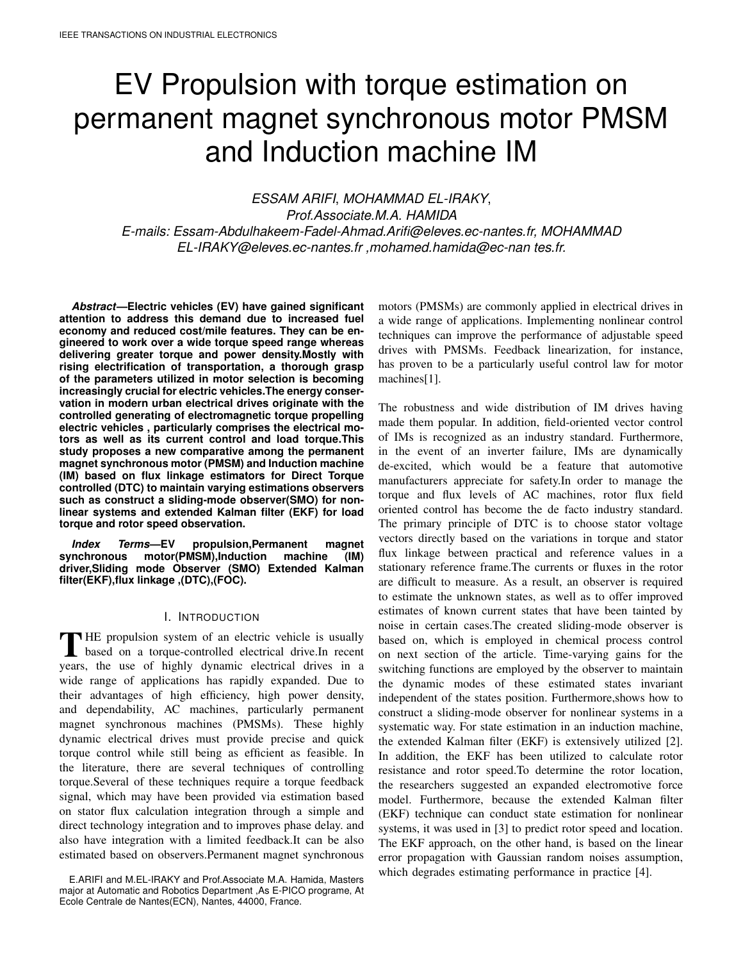# EV Propulsion with torque estimation on permanent magnet synchronous motor PMSM and Induction machine IM

*ESSAM ARIFI*, *MOHAMMAD EL-IRAKY*, *Prof.Associate.M.A. HAMIDA E-mails: Essam-Abdulhakeem-Fadel-Ahmad.Arifi@eleves.ec-nantes.fr, MOHAMMAD EL-IRAKY@eleves.ec-nantes.fr ,mohamed.hamida@ec-nan tes.fr.*

*Abstract***—Electric vehicles (EV) have gained significant attention to address this demand due to increased fuel economy and reduced cost/mile features. They can be engineered to work over a wide torque speed range whereas delivering greater torque and power density.Mostly with rising electrification of transportation, a thorough grasp of the parameters utilized in motor selection is becoming increasingly crucial for electric vehicles.The energy conservation in modern urban electrical drives originate with the controlled generating of electromagnetic torque propelling electric vehicles , particularly comprises the electrical motors as well as its current control and load torque.This study proposes a new comparative among the permanent magnet synchronous motor (PMSM) and Induction machine (IM) based on flux linkage estimators for Direct Torque controlled (DTC) to maintain varying estimations observers such as construct a sliding-mode observer(SMO) for nonlinear systems and extended Kalman filter (EKF) for load torque and rotor speed observation.**

*Index Terms***—EV propulsion,Permanent magnet synchronous motor(PMSM),Induction machine (IM) driver,Sliding mode Observer (SMO) Extended Kalman filter(EKF),flux linkage ,(DTC),(FOC).**

## I. INTRODUCTION

THE propulsion system of an electric vehicle is usually<br>based on a torque-controlled electrical drive. In recent based on a torque-controlled electrical drive.In recent years, the use of highly dynamic electrical drives in a wide range of applications has rapidly expanded. Due to their advantages of high efficiency, high power density, and dependability, AC machines, particularly permanent magnet synchronous machines (PMSMs). These highly dynamic electrical drives must provide precise and quick torque control while still being as efficient as feasible. In the literature, there are several techniques of controlling torque.Several of these techniques require a torque feedback signal, which may have been provided via estimation based on stator flux calculation integration through a simple and direct technology integration and to improves phase delay. and also have integration with a limited feedback.It can be also estimated based on observers.Permanent magnet synchronous

E.ARIFI and M.EL-IRAKY and Prof.Associate M.A. Hamida, Masters major at Automatic and Robotics Department ,As E-PICO programe, At Ecole Centrale de Nantes(ECN), Nantes, 44000, France.

motors (PMSMs) are commonly applied in electrical drives in a wide range of applications. Implementing nonlinear control techniques can improve the performance of adjustable speed drives with PMSMs. Feedback linearization, for instance, has proven to be a particularly useful control law for motor machines[1].

The robustness and wide distribution of IM drives having made them popular. In addition, field-oriented vector control of IMs is recognized as an industry standard. Furthermore, in the event of an inverter failure, IMs are dynamically de-excited, which would be a feature that automotive manufacturers appreciate for safety.In order to manage the torque and flux levels of AC machines, rotor flux field oriented control has become the de facto industry standard. The primary principle of DTC is to choose stator voltage vectors directly based on the variations in torque and stator flux linkage between practical and reference values in a stationary reference frame.The currents or fluxes in the rotor are difficult to measure. As a result, an observer is required to estimate the unknown states, as well as to offer improved estimates of known current states that have been tainted by noise in certain cases.The created sliding-mode observer is based on, which is employed in chemical process control on next section of the article. Time-varying gains for the switching functions are employed by the observer to maintain the dynamic modes of these estimated states invariant independent of the states position. Furthermore,shows how to construct a sliding-mode observer for nonlinear systems in a systematic way. For state estimation in an induction machine, the extended Kalman filter (EKF) is extensively utilized [2]. In addition, the EKF has been utilized to calculate rotor resistance and rotor speed.To determine the rotor location, the researchers suggested an expanded electromotive force model. Furthermore, because the extended Kalman filter (EKF) technique can conduct state estimation for nonlinear systems, it was used in [3] to predict rotor speed and location. The EKF approach, on the other hand, is based on the linear error propagation with Gaussian random noises assumption, which degrades estimating performance in practice [4].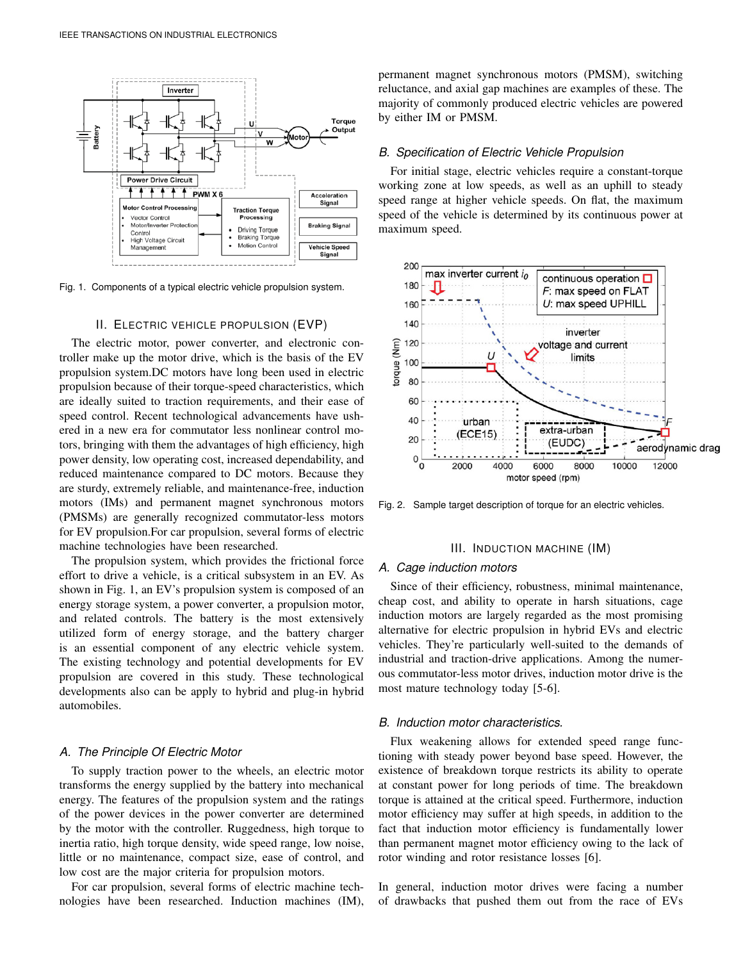

Fig. 1. Components of a typical electric vehicle propulsion system.

## II. ELECTRIC VEHICLE PROPULSION (EVP)

The electric motor, power converter, and electronic controller make up the motor drive, which is the basis of the EV propulsion system.DC motors have long been used in electric propulsion because of their torque-speed characteristics, which are ideally suited to traction requirements, and their ease of speed control. Recent technological advancements have ushered in a new era for commutator less nonlinear control motors, bringing with them the advantages of high efficiency, high power density, low operating cost, increased dependability, and reduced maintenance compared to DC motors. Because they are sturdy, extremely reliable, and maintenance-free, induction motors (IMs) and permanent magnet synchronous motors (PMSMs) are generally recognized commutator-less motors for EV propulsion.For car propulsion, several forms of electric machine technologies have been researched.

The propulsion system, which provides the frictional force effort to drive a vehicle, is a critical subsystem in an EV. As shown in Fig. 1, an EV's propulsion system is composed of an energy storage system, a power converter, a propulsion motor, and related controls. The battery is the most extensively utilized form of energy storage, and the battery charger is an essential component of any electric vehicle system. The existing technology and potential developments for EV propulsion are covered in this study. These technological developments also can be apply to hybrid and plug-in hybrid automobiles.

#### *A. The Principle Of Electric Motor*

To supply traction power to the wheels, an electric motor transforms the energy supplied by the battery into mechanical energy. The features of the propulsion system and the ratings of the power devices in the power converter are determined by the motor with the controller. Ruggedness, high torque to inertia ratio, high torque density, wide speed range, low noise, little or no maintenance, compact size, ease of control, and low cost are the major criteria for propulsion motors.

For car propulsion, several forms of electric machine technologies have been researched. Induction machines (IM), permanent magnet synchronous motors (PMSM), switching reluctance, and axial gap machines are examples of these. The majority of commonly produced electric vehicles are powered by either IM or PMSM.

## *B. Specification of Electric Vehicle Propulsion*

For initial stage, electric vehicles require a constant-torque working zone at low speeds, as well as an uphill to steady speed range at higher vehicle speeds. On flat, the maximum speed of the vehicle is determined by its continuous power at maximum speed.



Fig. 2. Sample target description of torque for an electric vehicles.

## III. INDUCTION MACHINE (IM)

# *A. Cage induction motors*

Since of their efficiency, robustness, minimal maintenance, cheap cost, and ability to operate in harsh situations, cage induction motors are largely regarded as the most promising alternative for electric propulsion in hybrid EVs and electric vehicles. They're particularly well-suited to the demands of industrial and traction-drive applications. Among the numerous commutator-less motor drives, induction motor drive is the most mature technology today [5-6].

# *B. Induction motor characteristics.*

Flux weakening allows for extended speed range functioning with steady power beyond base speed. However, the existence of breakdown torque restricts its ability to operate at constant power for long periods of time. The breakdown torque is attained at the critical speed. Furthermore, induction motor efficiency may suffer at high speeds, in addition to the fact that induction motor efficiency is fundamentally lower than permanent magnet motor efficiency owing to the lack of rotor winding and rotor resistance losses [6].

In general, induction motor drives were facing a number of drawbacks that pushed them out from the race of EVs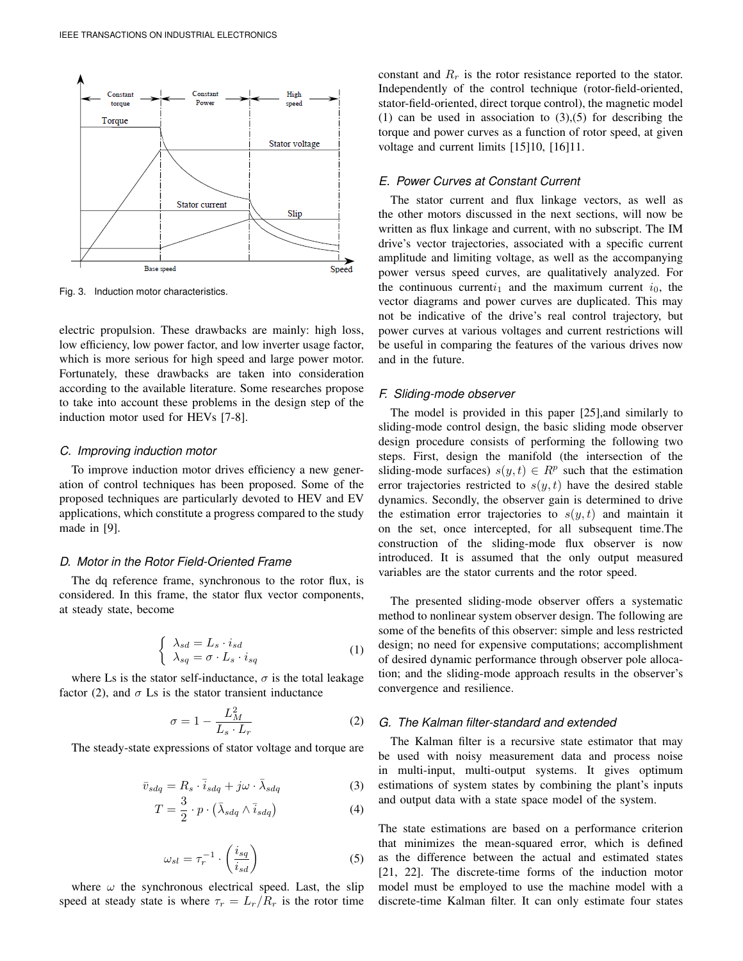

Fig. 3. Induction motor characteristics.

electric propulsion. These drawbacks are mainly: high loss, low efficiency, low power factor, and low inverter usage factor, which is more serious for high speed and large power motor. Fortunately, these drawbacks are taken into consideration according to the available literature. Some researches propose to take into account these problems in the design step of the induction motor used for HEVs [7-8].

#### *C. Improving induction motor*

To improve induction motor drives efficiency a new generation of control techniques has been proposed. Some of the proposed techniques are particularly devoted to HEV and EV applications, which constitute a progress compared to the study made in [9].

# *D. Motor in the Rotor Field-Oriented Frame*

The dq reference frame, synchronous to the rotor flux, is considered. In this frame, the stator flux vector components, at steady state, become

$$
\begin{cases}\n\lambda_{sd} = L_s \cdot i_{sd} \\
\lambda_{sq} = \sigma \cdot L_s \cdot i_{sq}\n\end{cases} (1)
$$

where Ls is the stator self-inductance,  $\sigma$  is the total leakage factor (2), and  $\sigma$  Ls is the stator transient inductance

$$
\sigma = 1 - \frac{L_M^2}{L_s \cdot L_r} \tag{2}
$$

The steady-state expressions of stator voltage and torque are

$$
\bar{v}_{sdq} = R_s \cdot \bar{i}_{sdq} + j\omega \cdot \bar{\lambda}_{sdq}
$$
\n(3)

$$
T = \frac{3}{2} \cdot p \cdot (\bar{\lambda}_{sdq} \wedge \bar{i}_{sdq}) \tag{4}
$$

$$
\omega_{sl} = \tau_r^{-1} \cdot \left(\frac{i_{sq}}{i_{sd}}\right) \tag{5}
$$

where  $\omega$  the synchronous electrical speed. Last, the slip speed at steady state is where  $\tau_r = L_r/R_r$  is the rotor time

constant and  $R_r$  is the rotor resistance reported to the stator. Independently of the control technique (rotor-field-oriented, stator-field-oriented, direct torque control), the magnetic model (1) can be used in association to  $(3),(5)$  for describing the torque and power curves as a function of rotor speed, at given voltage and current limits [15]10, [16]11.

# *E. Power Curves at Constant Current*

The stator current and flux linkage vectors, as well as the other motors discussed in the next sections, will now be written as flux linkage and current, with no subscript. The IM drive's vector trajectories, associated with a specific current amplitude and limiting voltage, as well as the accompanying power versus speed curves, are qualitatively analyzed. For the continuous current $i_1$  and the maximum current  $i_0$ , the vector diagrams and power curves are duplicated. This may not be indicative of the drive's real control trajectory, but power curves at various voltages and current restrictions will be useful in comparing the features of the various drives now and in the future.

## *F. Sliding-mode observer*

The model is provided in this paper [25],and similarly to sliding-mode control design, the basic sliding mode observer design procedure consists of performing the following two steps. First, design the manifold (the intersection of the sliding-mode surfaces)  $s(y, t) \in R^p$  such that the estimation error trajectories restricted to  $s(y, t)$  have the desired stable dynamics. Secondly, the observer gain is determined to drive the estimation error trajectories to  $s(y, t)$  and maintain it on the set, once intercepted, for all subsequent time.The construction of the sliding-mode flux observer is now introduced. It is assumed that the only output measured variables are the stator currents and the rotor speed.

The presented sliding-mode observer offers a systematic method to nonlinear system observer design. The following are some of the benefits of this observer: simple and less restricted design; no need for expensive computations; accomplishment of desired dynamic performance through observer pole allocation; and the sliding-mode approach results in the observer's convergence and resilience.

# *G. The Kalman filter-standard and extended*

The Kalman filter is a recursive state estimator that may be used with noisy measurement data and process noise in multi-input, multi-output systems. It gives optimum estimations of system states by combining the plant's inputs and output data with a state space model of the system.

The state estimations are based on a performance criterion that minimizes the mean-squared error, which is defined as the difference between the actual and estimated states [21, 22]. The discrete-time forms of the induction motor model must be employed to use the machine model with a discrete-time Kalman filter. It can only estimate four states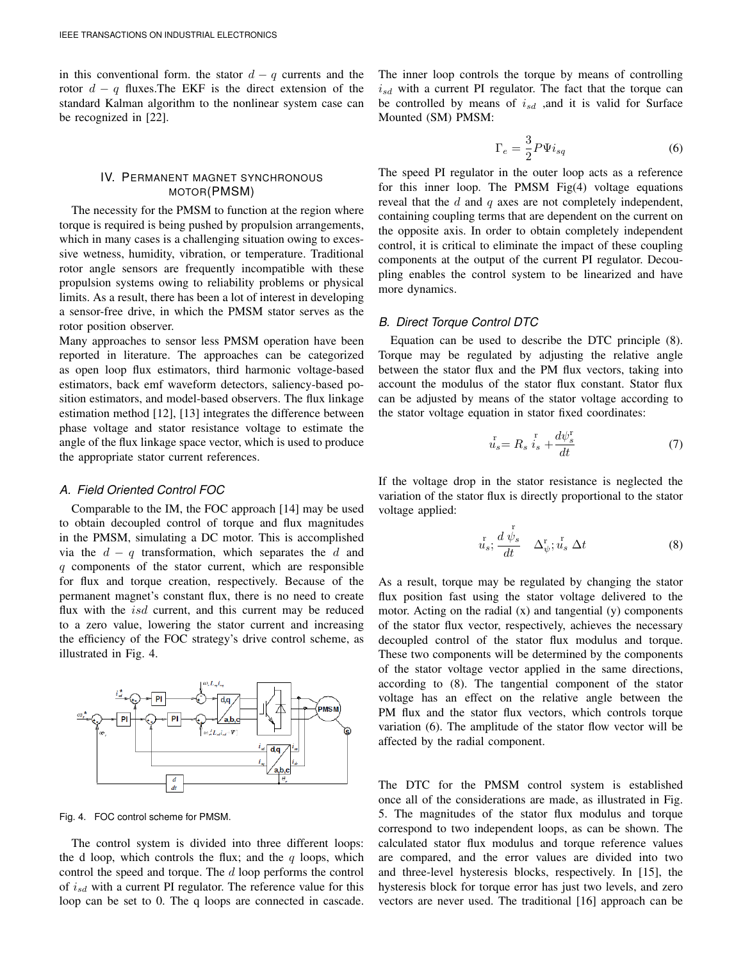in this conventional form, the stator  $d - q$  currents and the rotor  $d - q$  fluxes. The EKF is the direct extension of the standard Kalman algorithm to the nonlinear system case can be recognized in [22].

# IV. PERMANENT MAGNET SYNCHRONOUS MOTOR(PMSM)

The necessity for the PMSM to function at the region where torque is required is being pushed by propulsion arrangements, which in many cases is a challenging situation owing to excessive wetness, humidity, vibration, or temperature. Traditional rotor angle sensors are frequently incompatible with these propulsion systems owing to reliability problems or physical limits. As a result, there has been a lot of interest in developing a sensor-free drive, in which the PMSM stator serves as the rotor position observer.

Many approaches to sensor less PMSM operation have been reported in literature. The approaches can be categorized as open loop flux estimators, third harmonic voltage-based estimators, back emf waveform detectors, saliency-based position estimators, and model-based observers. The flux linkage estimation method [12], [13] integrates the difference between phase voltage and stator resistance voltage to estimate the angle of the flux linkage space vector, which is used to produce the appropriate stator current references.

## *A. Field Oriented Control FOC*

Comparable to the IM, the FOC approach [14] may be used to obtain decoupled control of torque and flux magnitudes in the PMSM, simulating a DC motor. This is accomplished via the  $d - q$  transformation, which separates the d and  $q$  components of the stator current, which are responsible for flux and torque creation, respectively. Because of the permanent magnet's constant flux, there is no need to create flux with the *isd* current, and this current may be reduced to a zero value, lowering the stator current and increasing the efficiency of the FOC strategy's drive control scheme, as illustrated in Fig. 4.



Fig. 4. FOC control scheme for PMSM.

The control system is divided into three different loops: the d loop, which controls the flux; and the  $q$  loops, which control the speed and torque. The d loop performs the control of  $i_{sd}$  with a current PI regulator. The reference value for this loop can be set to 0. The q loops are connected in cascade. The inner loop controls the torque by means of controlling  $i_{sd}$  with a current PI regulator. The fact that the torque can be controlled by means of  $i_{sd}$  ,and it is valid for Surface Mounted (SM) PMSM:

$$
\Gamma_e = \frac{3}{2} P \Psi i_{sq} \tag{6}
$$

The speed PI regulator in the outer loop acts as a reference for this inner loop. The PMSM Fig(4) voltage equations reveal that the d and q axes are not completely independent, containing coupling terms that are dependent on the current on the opposite axis. In order to obtain completely independent control, it is critical to eliminate the impact of these coupling components at the output of the current PI regulator. Decoupling enables the control system to be linearized and have more dynamics.

# *B. Direct Torque Control DTC*

Equation can be used to describe the DTC principle (8). Torque may be regulated by adjusting the relative angle between the stator flux and the PM flux vectors, taking into account the modulus of the stator flux constant. Stator flux can be adjusted by means of the stator voltage according to the stator voltage equation in stator fixed coordinates:

$$
\bar{u}_s = R_s \stackrel{\text{r}}{i_s} + \frac{d\psi_s^{\text{r}}}{dt} \tag{7}
$$

If the voltage drop in the stator resistance is neglected the variation of the stator flux is directly proportional to the stator voltage applied:

$$
\bar{u}_s^{\rm r}; \frac{d\stackrel{\rm r}{\psi}_s}{dt} \quad \Delta_{\psi}^{\rm r}; \bar{u}_s \Delta t \tag{8}
$$

As a result, torque may be regulated by changing the stator flux position fast using the stator voltage delivered to the motor. Acting on the radial (x) and tangential (y) components of the stator flux vector, respectively, achieves the necessary decoupled control of the stator flux modulus and torque. These two components will be determined by the components of the stator voltage vector applied in the same directions, according to (8). The tangential component of the stator voltage has an effect on the relative angle between the PM flux and the stator flux vectors, which controls torque variation (6). The amplitude of the stator flow vector will be affected by the radial component.

The DTC for the PMSM control system is established once all of the considerations are made, as illustrated in Fig. 5. The magnitudes of the stator flux modulus and torque correspond to two independent loops, as can be shown. The calculated stator flux modulus and torque reference values are compared, and the error values are divided into two and three-level hysteresis blocks, respectively. In [15], the hysteresis block for torque error has just two levels, and zero vectors are never used. The traditional [16] approach can be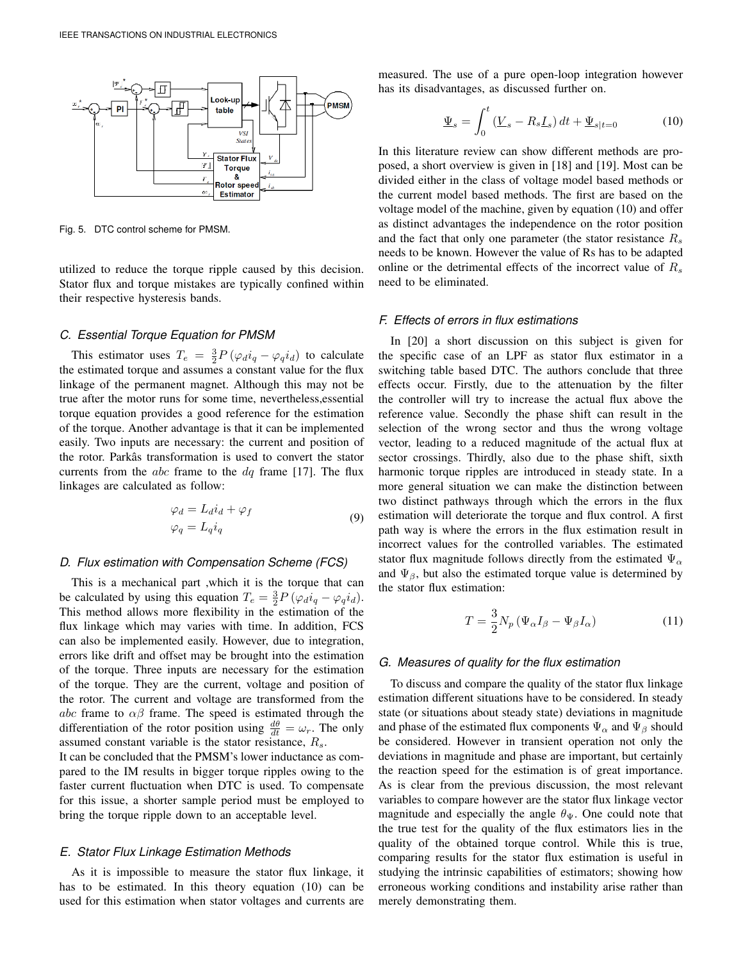

Fig. 5. DTC control scheme for PMSM.

utilized to reduce the torque ripple caused by this decision. Stator flux and torque mistakes are typically confined within their respective hysteresis bands.

#### *C. Essential Torque Equation for PMSM*

This estimator uses  $T_e = \frac{3}{2} P (\varphi_d i_q - \varphi_q i_d)$  to calculate the estimated torque and assumes a constant value for the flux linkage of the permanent magnet. Although this may not be true after the motor runs for some time, nevertheless,essential torque equation provides a good reference for the estimation of the torque. Another advantage is that it can be implemented easily. Two inputs are necessary: the current and position of the rotor. Parkâs transformation is used to convert the stator currents from the *abc* frame to the  $dq$  frame [17]. The flux linkages are calculated as follow:

$$
\varphi_d = L_d i_d + \varphi_f
$$
  
\n
$$
\varphi_q = L_q i_q
$$
\n(9)

## *D. Flux estimation with Compensation Scheme (FCS)*

This is a mechanical part ,which it is the torque that can be calculated by using this equation  $T_e = \frac{3}{2} P (\varphi_d i_q - \varphi_q i_d)$ . This method allows more flexibility in the estimation of the flux linkage which may varies with time. In addition, FCS can also be implemented easily. However, due to integration, errors like drift and offset may be brought into the estimation of the torque. Three inputs are necessary for the estimation of the torque. They are the current, voltage and position of the rotor. The current and voltage are transformed from the abc frame to  $\alpha\beta$  frame. The speed is estimated through the differentiation of the rotor position using  $\frac{d\theta}{dt} = \omega_r$ . The only assumed constant variable is the stator resistance,  $R_s$ .

It can be concluded that the PMSM's lower inductance as compared to the IM results in bigger torque ripples owing to the faster current fluctuation when DTC is used. To compensate for this issue, a shorter sample period must be employed to bring the torque ripple down to an acceptable level.

## *E. Stator Flux Linkage Estimation Methods*

As it is impossible to measure the stator flux linkage, it has to be estimated. In this theory equation (10) can be used for this estimation when stator voltages and currents are

measured. The use of a pure open-loop integration however has its disadvantages, as discussed further on.

$$
\underline{\Psi}_s = \int_0^t \left( \underline{V}_s - R_s \underline{I}_s \right) dt + \underline{\Psi}_{s|t=0} \tag{10}
$$

In this literature review can show different methods are proposed, a short overview is given in [18] and [19]. Most can be divided either in the class of voltage model based methods or the current model based methods. The first are based on the voltage model of the machine, given by equation (10) and offer as distinct advantages the independence on the rotor position and the fact that only one parameter (the stator resistance  $R_s$ needs to be known. However the value of Rs has to be adapted online or the detrimental effects of the incorrect value of  $R_s$ need to be eliminated.

## *F. Effects of errors in flux estimations*

In [20] a short discussion on this subject is given for the specific case of an LPF as stator flux estimator in a switching table based DTC. The authors conclude that three effects occur. Firstly, due to the attenuation by the filter the controller will try to increase the actual flux above the reference value. Secondly the phase shift can result in the selection of the wrong sector and thus the wrong voltage vector, leading to a reduced magnitude of the actual flux at sector crossings. Thirdly, also due to the phase shift, sixth harmonic torque ripples are introduced in steady state. In a more general situation we can make the distinction between two distinct pathways through which the errors in the flux estimation will deteriorate the torque and flux control. A first path way is where the errors in the flux estimation result in incorrect values for the controlled variables. The estimated stator flux magnitude follows directly from the estimated  $\Psi_{\alpha}$ and  $\Psi_{\beta}$ , but also the estimated torque value is determined by the stator flux estimation:

$$
T = \frac{3}{2} N_p \left( \Psi_\alpha I_\beta - \Psi_\beta I_\alpha \right) \tag{11}
$$

# *G. Measures of quality for the flux estimation*

To discuss and compare the quality of the stator flux linkage estimation different situations have to be considered. In steady state (or situations about steady state) deviations in magnitude and phase of the estimated flux components  $\Psi_{\alpha}$  and  $\Psi_{\beta}$  should be considered. However in transient operation not only the deviations in magnitude and phase are important, but certainly the reaction speed for the estimation is of great importance. As is clear from the previous discussion, the most relevant variables to compare however are the stator flux linkage vector magnitude and especially the angle  $\theta_{\Psi}$ . One could note that the true test for the quality of the flux estimators lies in the quality of the obtained torque control. While this is true, comparing results for the stator flux estimation is useful in studying the intrinsic capabilities of estimators; showing how erroneous working conditions and instability arise rather than merely demonstrating them.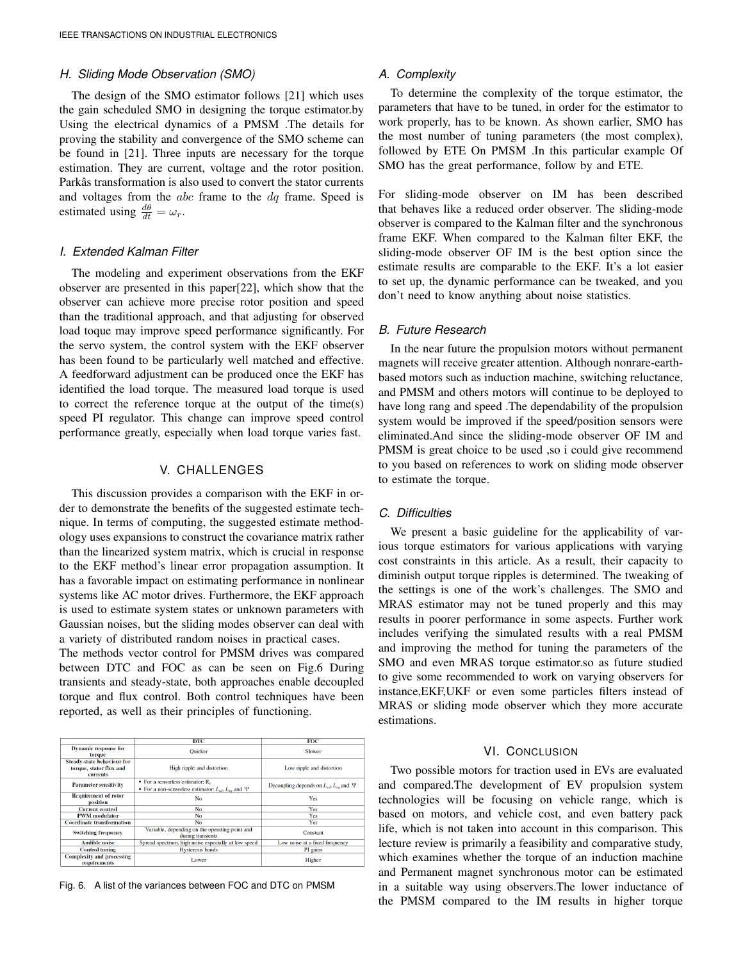# *H. Sliding Mode Observation (SMO)*

The design of the SMO estimator follows [21] which uses the gain scheduled SMO in designing the torque estimator.by Using the electrical dynamics of a PMSM .The details for proving the stability and convergence of the SMO scheme can be found in [21]. Three inputs are necessary for the torque estimation. They are current, voltage and the rotor position. Parkâs transformation is also used to convert the stator currents and voltages from the  $abc$  frame to the  $dq$  frame. Speed is estimated using  $\frac{d\theta}{dt} = \omega_r$ .

# *I. Extended Kalman Filter*

The modeling and experiment observations from the EKF observer are presented in this paper[22], which show that the observer can achieve more precise rotor position and speed than the traditional approach, and that adjusting for observed load toque may improve speed performance significantly. For the servo system, the control system with the EKF observer has been found to be particularly well matched and effective. A feedforward adjustment can be produced once the EKF has identified the load torque. The measured load torque is used to correct the reference torque at the output of the time(s) speed PI regulator. This change can improve speed control performance greatly, especially when load torque varies fast.

# V. CHALLENGES

This discussion provides a comparison with the EKF in order to demonstrate the benefits of the suggested estimate technique. In terms of computing, the suggested estimate methodology uses expansions to construct the covariance matrix rather than the linearized system matrix, which is crucial in response to the EKF method's linear error propagation assumption. It has a favorable impact on estimating performance in nonlinear systems like AC motor drives. Furthermore, the EKF approach is used to estimate system states or unknown parameters with Gaussian noises, but the sliding modes observer can deal with a variety of distributed random noises in practical cases.

The methods vector control for PMSM drives was compared between DTC and FOC as can be seen on Fig.6 During transients and steady-state, both approaches enable decoupled torque and flux control. Both control techniques have been reported, as well as their principles of functioning.

|                                                                          | <b>DTC</b>                                                                                           | FOC                                                  |  |  |  |  |
|--------------------------------------------------------------------------|------------------------------------------------------------------------------------------------------|------------------------------------------------------|--|--|--|--|
| <b>Dynamic response for</b><br><b>to rque</b>                            | <b>Ouicker</b>                                                                                       | Slower                                               |  |  |  |  |
| Steady-state behaviour for<br>torque, stator flux and<br><b>currents</b> | High ripple and distortion                                                                           | Low ripple and distortion                            |  |  |  |  |
| <b>Parameter sensitivity</b>                                             | • For a sensorless estimator: R.<br>• For a non-sensorless estimator: $L_{sd}$ , $L_{sa}$ and $\Psi$ | Decoupling depends on $L_{sd}$ , $L_{sa}$ and $\Psi$ |  |  |  |  |
| <b>Requirement of rotor</b><br>position                                  | <b>No</b>                                                                                            | Yes                                                  |  |  |  |  |
| <b>Current control</b>                                                   | <b>No</b>                                                                                            | Yes                                                  |  |  |  |  |
| <b>PWM</b> modulator                                                     | No                                                                                                   | Yes                                                  |  |  |  |  |
| <b>Coordinate transformation</b>                                         | <b>No</b>                                                                                            | Yes                                                  |  |  |  |  |
| <b>Switching frequency</b>                                               | Variable, depending on the operating point and<br>during transients                                  | Constant                                             |  |  |  |  |
| <b>Audible noise</b>                                                     | Spread spectrum, high noise especially at low speed                                                  | Low noise at a fixed frequency                       |  |  |  |  |
| <b>Control tuning</b>                                                    | <b>Hysteresis</b> bands                                                                              | PI gains                                             |  |  |  |  |
| <b>Complexity and processing</b><br>requirements                         | Lower                                                                                                | Higher                                               |  |  |  |  |

Fig. 6. A list of the variances between FOC and DTC on PMSM

# *A. Complexity*

To determine the complexity of the torque estimator, the parameters that have to be tuned, in order for the estimator to work properly, has to be known. As shown earlier, SMO has the most number of tuning parameters (the most complex), followed by ETE On PMSM .In this particular example Of SMO has the great performance, follow by and ETE.

For sliding-mode observer on IM has been described that behaves like a reduced order observer. The sliding-mode observer is compared to the Kalman filter and the synchronous frame EKF. When compared to the Kalman filter EKF, the sliding-mode observer OF IM is the best option since the estimate results are comparable to the EKF. It's a lot easier to set up, the dynamic performance can be tweaked, and you don't need to know anything about noise statistics.

## *B. Future Research*

In the near future the propulsion motors without permanent magnets will receive greater attention. Although nonrare-earthbased motors such as induction machine, switching reluctance, and PMSM and others motors will continue to be deployed to have long rang and speed .The dependability of the propulsion system would be improved if the speed/position sensors were eliminated.And since the sliding-mode observer OF IM and PMSM is great choice to be used ,so i could give recommend to you based on references to work on sliding mode observer to estimate the torque.

#### *C. Difficulties*

We present a basic guideline for the applicability of various torque estimators for various applications with varying cost constraints in this article. As a result, their capacity to diminish output torque ripples is determined. The tweaking of the settings is one of the work's challenges. The SMO and MRAS estimator may not be tuned properly and this may results in poorer performance in some aspects. Further work includes verifying the simulated results with a real PMSM and improving the method for tuning the parameters of the SMO and even MRAS torque estimator.so as future studied to give some recommended to work on varying observers for instance,EKF,UKF or even some particles filters instead of MRAS or sliding mode observer which they more accurate estimations.

# VI. CONCLUSION

Two possible motors for traction used in EVs are evaluated and compared.The development of EV propulsion system technologies will be focusing on vehicle range, which is based on motors, and vehicle cost, and even battery pack life, which is not taken into account in this comparison. This lecture review is primarily a feasibility and comparative study, which examines whether the torque of an induction machine and Permanent magnet synchronous motor can be estimated in a suitable way using observers.The lower inductance of the PMSM compared to the IM results in higher torque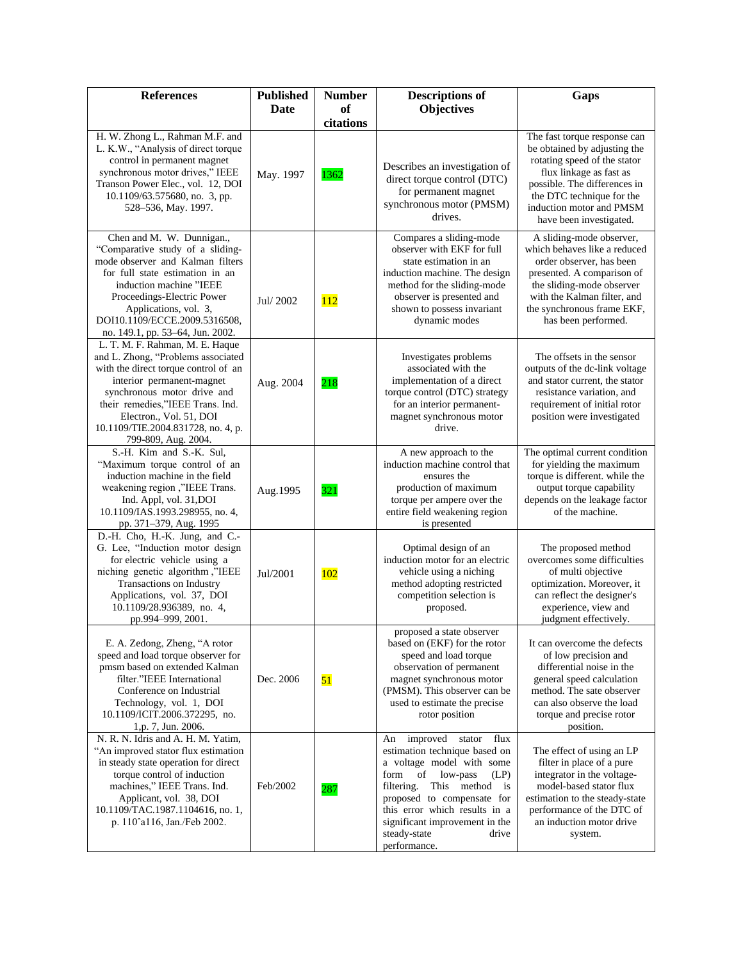| <b>References</b>                                                                                                                                                                                                                                                                                     | <b>Published</b><br><b>Date</b> | <b>Number</b><br>of | <b>Descriptions of</b><br><b>Objectives</b>                                                                                                                                                                                                                                                             | Gaps                                                                                                                                                                                                                                        |
|-------------------------------------------------------------------------------------------------------------------------------------------------------------------------------------------------------------------------------------------------------------------------------------------------------|---------------------------------|---------------------|---------------------------------------------------------------------------------------------------------------------------------------------------------------------------------------------------------------------------------------------------------------------------------------------------------|---------------------------------------------------------------------------------------------------------------------------------------------------------------------------------------------------------------------------------------------|
|                                                                                                                                                                                                                                                                                                       |                                 | citations           |                                                                                                                                                                                                                                                                                                         |                                                                                                                                                                                                                                             |
| H. W. Zhong L., Rahman M.F. and<br>L. K.W., "Analysis of direct torque<br>control in permanent magnet<br>synchronous motor drives," IEEE<br>Transon Power Elec., vol. 12, DOI<br>10.1109/63.575680, no. 3, pp.<br>528-536, May. 1997.                                                                 | May. 1997                       | 1362                | Describes an investigation of<br>direct torque control (DTC)<br>for permanent magnet<br>synchronous motor (PMSM)<br>drives.                                                                                                                                                                             | The fast torque response can<br>be obtained by adjusting the<br>rotating speed of the stator<br>flux linkage as fast as<br>possible. The differences in<br>the DTC technique for the<br>induction motor and PMSM<br>have been investigated. |
| Chen and M. W. Dunnigan.,<br>"Comparative study of a sliding-<br>mode observer and Kalman filters<br>for full state estimation in an<br>induction machine "IEEE<br>Proceedings-Electric Power<br>Applications, vol. 3,<br>DOI10.1109/ECCE.2009.5316508,<br>no. 149.1, pp. 53-64, Jun. 2002.           | Jul/2002                        | <b>112</b>          | Compares a sliding-mode<br>observer with EKF for full<br>state estimation in an<br>induction machine. The design<br>method for the sliding-mode<br>observer is presented and<br>shown to possess invariant<br>dynamic modes                                                                             | A sliding-mode observer,<br>which behaves like a reduced<br>order observer, has been<br>presented. A comparison of<br>the sliding-mode observer<br>with the Kalman filter, and<br>the synchronous frame EKF,<br>has been performed.         |
| L. T. M. F. Rahman, M. E. Haque<br>and L. Zhong, "Problems associated<br>with the direct torque control of an<br>interior permanent-magnet<br>synchronous motor drive and<br>their remedies,"IEEE Trans. Ind.<br>Electron., Vol. 51, DOI<br>10.1109/TIE.2004.831728, no. 4, p.<br>799-809, Aug. 2004. | Aug. 2004                       | 218                 | Investigates problems<br>associated with the<br>implementation of a direct<br>torque control (DTC) strategy<br>for an interior permanent-<br>magnet synchronous motor<br>drive.                                                                                                                         | The offsets in the sensor<br>outputs of the dc-link voltage<br>and stator current, the stator<br>resistance variation, and<br>requirement of initial rotor<br>position were investigated                                                    |
| S.-H. Kim and S.-K. Sul,<br>"Maximum torque control of an<br>induction machine in the field<br>weakening region ,"IEEE Trans.<br>Ind. Appl, vol. 31, DOI<br>10.1109/IAS.1993.298955, no. 4,<br>pp. 371-379, Aug. 1995                                                                                 | Aug.1995                        | 321                 | A new approach to the<br>induction machine control that<br>ensures the<br>production of maximum<br>torque per ampere over the<br>entire field weakening region<br>is presented                                                                                                                          | The optimal current condition<br>for yielding the maximum<br>torque is different. while the<br>output torque capability<br>depends on the leakage factor<br>of the machine.                                                                 |
| D.-H. Cho, H.-K. Jung, and C.-<br>G. Lee, "Induction motor design<br>for electric vehicle using a<br>niching genetic algorithm,"IEEE<br>Transactions on Industry<br>Applications, vol. 37, DOI<br>10.1109/28.936389, no. 4,<br>pp.994-999, 2001.                                                      | Jul/2001                        | <b>102</b>          | Optimal design of an<br>induction motor for an electric<br>vehicle using a niching<br>method adopting restricted<br>competition selection is<br>proposed.                                                                                                                                               | The proposed method<br>overcomes some difficulties<br>of multi objective<br>optimization. Moreover, it<br>can reflect the designer's<br>experience, view and<br>judgment effectively.                                                       |
| E. A. Zedong, Zheng, "A rotor<br>speed and load torque observer for<br>pmsm based on extended Kalman<br>filter."IEEE International<br>Conference on Industrial<br>Technology, vol. 1, DOI<br>10.1109/ICIT.2006.372295, no.<br>1,p. 7, Jun. 2006.                                                      | Dec. 2006                       | 51                  | proposed a state observer<br>based on (EKF) for the rotor<br>speed and load torque<br>observation of permanent<br>magnet synchronous motor<br>(PMSM). This observer can be<br>used to estimate the precise<br>rotor position                                                                            | It can overcome the defects<br>of low precision and<br>differential noise in the<br>general speed calculation<br>method. The sate observer<br>can also observe the load<br>torque and precise rotor<br>position.                            |
| N. R. N. Idris and A. H. M. Yatim,<br>"An improved stator flux estimation<br>in steady state operation for direct<br>torque control of induction<br>machines," IEEE Trans. Ind.<br>Applicant, vol. 38, DOI<br>10.1109/TAC.1987.1104616, no. 1,<br>p. 110 <sup>o</sup> a116, Jan./Feb 2002.            | Feb/2002                        | 287                 | flux<br>improved stator<br>An<br>estimation technique based on<br>a voltage model with some<br>form<br>of<br>low-pass<br>(LP)<br>filtering.<br>This method is<br>proposed to compensate for<br>this error which results in a<br>significant improvement in the<br>steady-state<br>drive<br>performance. | The effect of using an LP<br>filter in place of a pure<br>integrator in the voltage-<br>model-based stator flux<br>estimation to the steady-state<br>performance of the DTC of<br>an induction motor drive<br>system.                       |